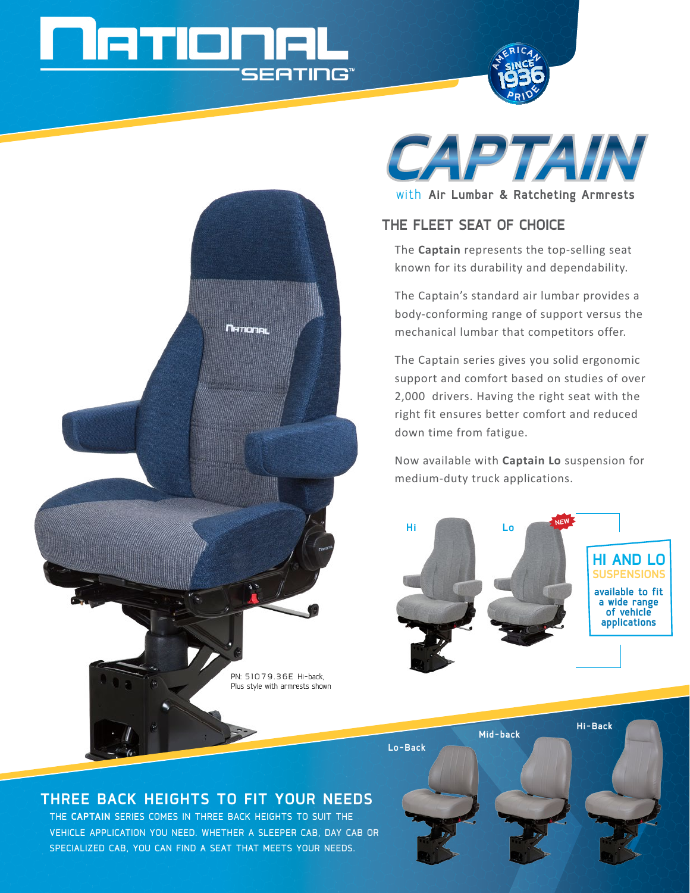# **ETIME SEATING®**





with **Air Lumbar & Ratcheting Armrests**

## **The Fleet Seat of Choice**

The **Captain** represents the top-selling seat known for its durability and dependability.

The Captain's standard air lumbar provides a body-conforming range of support versus the mechanical lumbar that competitors offer.

The Captain series gives you solid ergonomic support and comfort based on studies of over 2,000 drivers. Having the right seat with the right fit ensures better comfort and reduced down time from fatigue.

Now available with **Captain Lo** suspension for medium-duty truck applications.





# **Three Back Heights to Fit Your Needs**

The **Captain** Series comes in three back heights to suit the vehicle application you need. Whether a sleeper cab, day cab or specialized cab, you can find a seat that meets your needs.